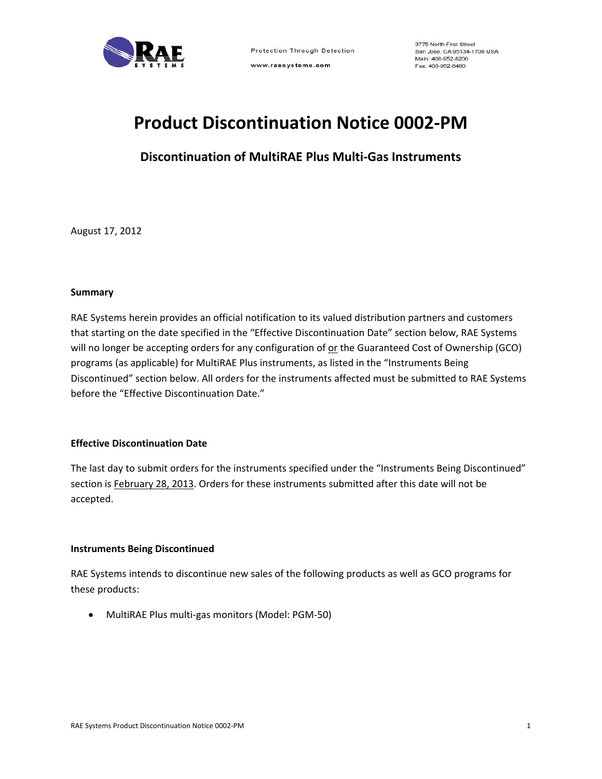

www.raesystems.com

3775 North First Street San Jose, CA 95134-1708 USA Main: 408-952-8200 Fax: 408-952-8480

## **Product Discontinuation Notice 0002‐PM**

**Discontinuation of MultiRAE Plus Multi‐Gas Instruments**

August 17, 2012

#### **Summary**

RAE Systems herein provides an official notification to its valued distribution partners and customers that starting on the date specified in the "Effective Discontinuation Date" section below, RAE Systems will no longer be accepting orders for any configuration of or the Guaranteed Cost of Ownership (GCO) programs (as applicable) for MultiRAE Plus instruments, as listed in the "Instruments Being Discontinued" section below. All orders for the instruments affected must be submitted to RAE Systems before the "Effective Discontinuation Date."

#### **Effective Discontinuation Date**

The last day to submit orders for the instruments specified under the "Instruments Being Discontinued" section is February 28, 2013. Orders for these instruments submitted after this date will not be accepted.

#### **Instruments Being Discontinued**

RAE Systems intends to discontinue new sales of the following products as well as GCO programs for these products:

● MultiRAE Plus multi-gas monitors (Model: PGM-50)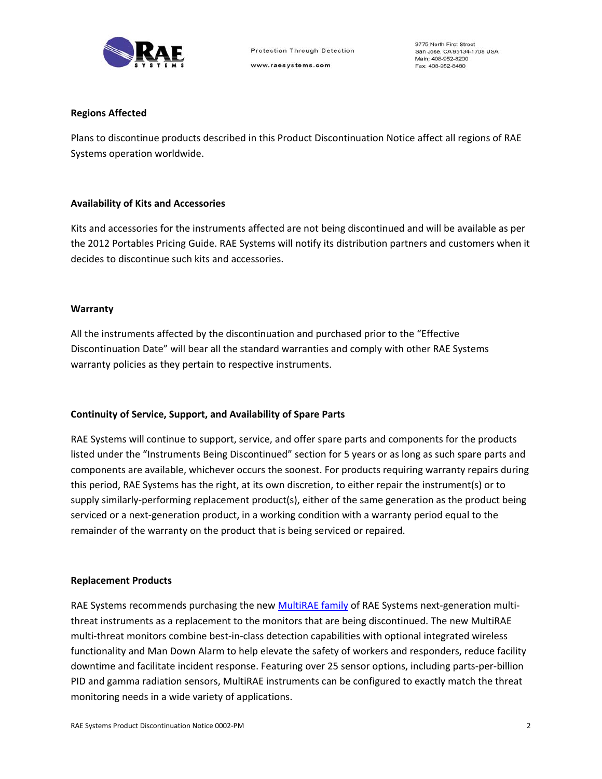

#### **Regions Affected**

Plans to discontinue products described in this Product Discontinuation Notice affect all regions of RAE Systems operation worldwide.

#### **Availability of Kits and Accessories**

Kits and accessories for the instruments affected are not being discontinued and will be available as per the 2012 Portables Pricing Guide. RAE Systems will notify its distribution partners and customers when it decides to discontinue such kits and accessories.

#### **Warranty**

All the instruments affected by the discontinuation and purchased prior to the "Effective Discontinuation Date" will bear all the standard warranties and comply with other RAE Systems warranty policies as they pertain to respective instruments.

#### **Continuity of Service, Support, and Availability of Spare Parts**

RAE Systems will continue to support, service, and offer spare parts and components for the products listed under the "Instruments Being Discontinued" section for 5 years or as long as such spare parts and components are available, whichever occurs the soonest. For products requiring warranty repairs during this period, RAE Systems has the right, at its own discretion, to either repair the instrument(s) or to supply similarly‐performing replacement product(s), either of the same generation as the product being serviced or a next-generation product, in a working condition with a warranty period equal to the remainder of the warranty on the product that is being serviced or repaired.

#### **Replacement Products**

RAE Systems recommends purchasing the new MultiRAE family of RAE Systems next-generation multithreat instruments as a replacement to the monitors that are being discontinued. The new MultiRAE multi‐threat monitors combine best‐in‐class detection capabilities with optional integrated wireless functionality and Man Down Alarm to help elevate the safety of workers and responders, reduce facility downtime and facilitate incident response. Featuring over 25 sensor options, including parts‐per‐billion PID and gamma radiation sensors, MultiRAE instruments can be configured to exactly match the threat monitoring needs in a wide variety of applications.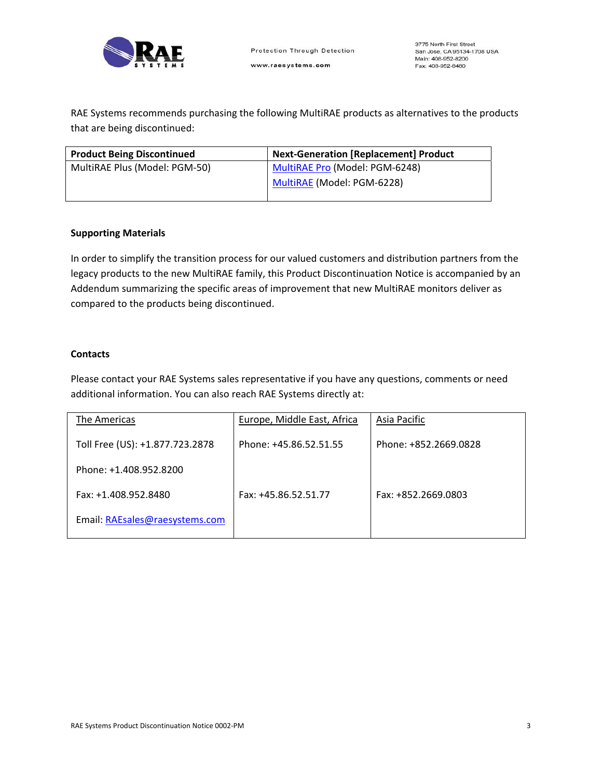

RAE Systems recommends purchasing the following MultiRAE products as alternatives to the products that are being discontinued:

| <b>Product Being Discontinued</b> | <b>Next-Generation [Replacement] Product</b> |  |
|-----------------------------------|----------------------------------------------|--|
| MultiRAE Plus (Model: PGM-50)     | MultiRAE Pro (Model: PGM-6248)               |  |
|                                   | MultiRAE (Model: PGM-6228)                   |  |
|                                   |                                              |  |

#### **Supporting Materials**

In order to simplify the transition process for our valued customers and distribution partners from the legacy products to the new MultiRAE family, this Product Discontinuation Notice is accompanied by an Addendum summarizing the specific areas of improvement that new MultiRAE monitors deliver as compared to the products being discontinued.

#### **Contacts**

Please contact your RAE Systems sales representative if you have any questions, comments or need additional information. You can also reach RAE Systems directly at:

| The Americas                    | Europe, Middle East, Africa | Asia Pacific          |
|---------------------------------|-----------------------------|-----------------------|
| Toll Free (US): +1.877.723.2878 | Phone: +45.86.52.51.55      | Phone: +852.2669.0828 |
| Phone: +1.408.952.8200          |                             |                       |
| Fax: +1.408.952.8480            | Fax: +45.86.52.51.77        | Fax: +852.2669.0803   |
| Email: RAEsales@raesystems.com  |                             |                       |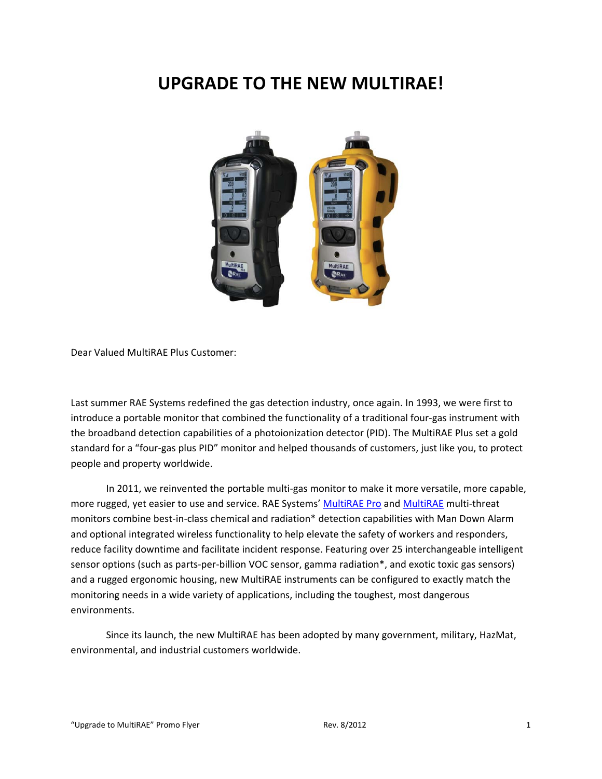## **UPGRADE TO THE NEW MULTIRAE!**



Dear Valued MultiRAE Plus Customer:

Last summer RAE Systems redefined the gas detection industry, once again. In 1993, we were first to introduce a portable monitor that combined the functionality of a traditional four‐gas instrument with the broadband detection capabilities of a photoionization detector (PID). The MultiRAE Plus set a gold standard for a "four‐gas plus PID" monitor and helped thousands of customers, just like you, to protect people and property worldwide.

In 2011, we reinvented the portable multi‐gas monitor to make it more versatile, more capable, more rugged, yet easier to use and service. RAE Systems' MultiRAE Pro and MultiRAE multi‐threat monitors combine best-in-class chemical and radiation\* detection capabilities with Man Down Alarm and optional integrated wireless functionality to help elevate the safety of workers and responders, reduce facility downtime and facilitate incident response. Featuring over 25 interchangeable intelligent sensor options (such as parts-per-billion VOC sensor, gamma radiation\*, and exotic toxic gas sensors) and a rugged ergonomic housing, new MultiRAE instruments can be configured to exactly match the monitoring needs in a wide variety of applications, including the toughest, most dangerous environments.

Since its launch, the new MultiRAE has been adopted by many government, military, HazMat, environmental, and industrial customers worldwide.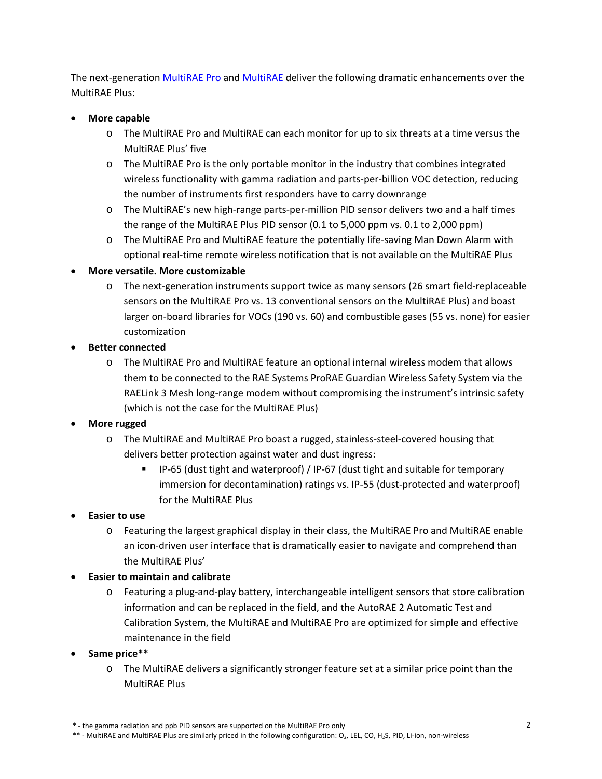The next-generation MultiRAE Pro and MultiRAE deliver the following dramatic enhancements over the MultiRAE Plus:

#### **More capable**

- o The MultiRAE Pro and MultiRAE can each monitor for up to six threats at a time versus the MultiRAE Plus' five
- o The MultiRAE Pro is the only portable monitor in the industry that combines integrated wireless functionality with gamma radiation and parts-per-billion VOC detection, reducing the number of instruments first responders have to carry downrange
- o The MultiRAE's new high‐range parts‐per‐million PID sensor delivers two and a half times the range of the MultiRAE Plus PID sensor (0.1 to 5,000 ppm vs. 0.1 to 2,000 ppm)
- o The MultiRAE Pro and MultiRAE feature the potentially life‐saving Man Down Alarm with optional real‐time remote wireless notification that is not available on the MultiRAE Plus
- **More versatile. More customizable**
	- o The next‐generation instruments support twice as many sensors (26 smart field‐replaceable sensors on the MultiRAE Pro vs. 13 conventional sensors on the MultiRAE Plus) and boast larger on-board libraries for VOCs (190 vs. 60) and combustible gases (55 vs. none) for easier customization
- **Better connected**
	- o The MultiRAE Pro and MultiRAE feature an optional internal wireless modem that allows them to be connected to the RAE Systems ProRAE Guardian Wireless Safety System via the RAELink 3 Mesh long-range modem without compromising the instrument's intrinsic safety (which is not the case for the MultiRAE Plus)

#### **More rugged**

- o The MultiRAE and MultiRAE Pro boast a rugged, stainless‐steel‐covered housing that delivers better protection against water and dust ingress:
	- IP‐65 (dust tight and waterproof) / IP‐67 (dust tight and suitable for temporary immersion for decontamination) ratings vs. IP-55 (dust-protected and waterproof) for the MultiRAE Plus

### **Easier to use**

o Featuring the largest graphical display in their class, the MultiRAE Pro and MultiRAE enable an icon-driven user interface that is dramatically easier to navigate and comprehend than the MultiRAE Plus'

### **Easier to maintain and calibrate**

- o Featuring a plug‐and‐play battery, interchangeable intelligent sensors that store calibration information and can be replaced in the field, and the AutoRAE 2 Automatic Test and Calibration System, the MultiRAE and MultiRAE Pro are optimized for simple and effective maintenance in the field
- **Same price\*\***
	- o The MultiRAE delivers a significantly stronger feature set at a similar price point than the MultiRAE Plus

<sup>\* -</sup> the gamma radiation and ppb PID sensors are supported on the MultiRAE Pro only

<sup>\*\* -</sup> MultiRAE and MultiRAE Plus are similarly priced in the following configuration: O<sub>2</sub>, LEL, CO, H<sub>2</sub>S, PID, Li-ion, non-wireless